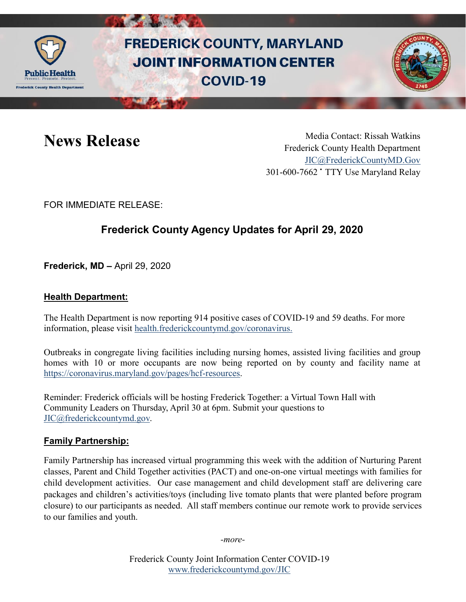

# **FREDERICK COUNTY, MARYLAND JOINT INFORMATION CENTER COVID-19**



News Release Media Contact: Rissah Watkins Frederick County Health Department [JIC@FrederickCountyMD.Gov](mailto:JIC@FrederickCountyMD.Gov) 301-600-7662 • TTY Use Maryland Relay

FOR IMMEDIATE RELEASE:

## **Frederick County Agency Updates for April 29, 2020**

**Frederick, MD –** April 29, 2020

#### **Health Department:**

The Health Department is now reporting 914 positive cases of COVID-19 and 59 deaths. For more information, please visit [health.frederickcountymd.gov/coronavirus.](https://health.frederickcountymd.gov/614/Novel-Coronavirus-COVID-19)

Outbreaks in congregate living facilities including nursing homes, assisted living facilities and group homes with 10 or more occupants are now being reported on by county and facility name at [https://coronavirus.maryland.gov/pages/hcf-resources.](https://coronavirus.maryland.gov/pages/hcf-resources)

Reminder: Frederick officials will be hosting Frederick Together: a Virtual Town Hall with Community Leaders on Thursday, April 30 at 6pm. Submit your questions to [JIC@frederickcountymd.gov.](mailto:JIC@frederickcountymd.gov)

### **Family Partnership:**

Family Partnership has increased virtual programming this week with the addition of Nurturing Parent classes, Parent and Child Together activities (PACT) and one-on-one virtual meetings with families for child development activities. Our case management and child development staff are delivering care packages and children's activities/toys (including live tomato plants that were planted before program closure) to our participants as needed. All staff members continue our remote work to provide services to our families and youth.

*-more-*

Frederick County Joint Information Center COVID-19 [www.frederickcountymd.gov/JIC](https://frederickcountymd.gov/JIC)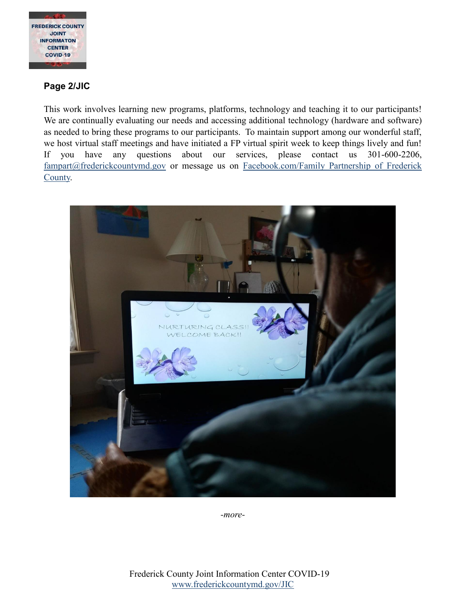

#### **Page 2/JIC**

This work involves learning new programs, platforms, technology and teaching it to our participants! We are continually evaluating our needs and accessing additional technology (hardware and software) as needed to bring these programs to our participants. To maintain support among our wonderful staff, we host virtual staff meetings and have initiated a FP virtual spirit week to keep things lively and fun! If you have any questions about our services, please contact us 301-600-2206, [fampart@frederickcountymd.gov](mailto:fampart@frederickcountymd.gov) or message us on [Facebook.com/Family Partnership of Frederick](https://www.facebook.com/Family-Partnership-of-Frederick-County-120987521328676/?ref=br_rs)  [County.](https://www.facebook.com/Family-Partnership-of-Frederick-County-120987521328676/?ref=br_rs)



*-more-*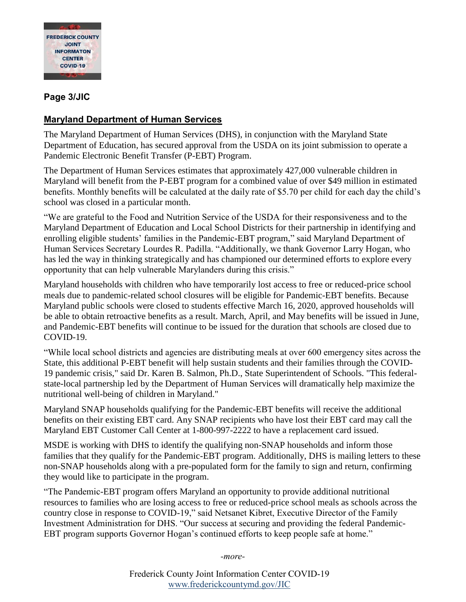

#### **Page 3/JIC**

#### **Maryland Department of Human Services**

The Maryland Department of Human Services (DHS), in conjunction with the Maryland State Department of Education, has secured approval from the USDA on its joint submission to operate a Pandemic Electronic Benefit Transfer (P-EBT) Program.

The Department of Human Services estimates that approximately 427,000 vulnerable children in Maryland will benefit from the P-EBT program for a combined value of over \$49 million in estimated benefits. Monthly benefits will be calculated at the daily rate of \$5.70 per child for each day the child's school was closed in a particular month.

"We are grateful to the Food and Nutrition Service of the USDA for their responsiveness and to the Maryland Department of Education and Local School Districts for their partnership in identifying and enrolling eligible students' families in the Pandemic-EBT program," said Maryland Department of Human Services Secretary Lourdes R. Padilla. "Additionally, we thank Governor Larry Hogan, who has led the way in thinking strategically and has championed our determined efforts to explore every opportunity that can help vulnerable Marylanders during this crisis."

Maryland households with children who have temporarily lost access to free or reduced-price school meals due to pandemic-related school closures will be eligible for Pandemic-EBT benefits. Because Maryland public schools were closed to students effective March 16, 2020, approved households will be able to obtain retroactive benefits as a result. March, April, and May benefits will be issued in June, and Pandemic-EBT benefits will continue to be issued for the duration that schools are closed due to COVID-19.

"While local school districts and agencies are distributing meals at over 600 emergency sites across the State, this additional P-EBT benefit will help sustain students and their families through the COVID-19 pandemic crisis," said Dr. Karen B. Salmon, Ph.D., State Superintendent of Schools. "This federalstate-local partnership led by the Department of Human Services will dramatically help maximize the nutritional well-being of children in Maryland."

Maryland SNAP households qualifying for the Pandemic-EBT benefits will receive the additional benefits on their existing EBT card. Any SNAP recipients who have lost their EBT card may call the Maryland EBT Customer Call Center at 1-800-997-2222 to have a replacement card issued.

MSDE is working with DHS to identify the qualifying non-SNAP households and inform those families that they qualify for the Pandemic-EBT program. Additionally, DHS is mailing letters to these non-SNAP households along with a pre-populated form for the family to sign and return, confirming they would like to participate in the program.

"The Pandemic-EBT program offers Maryland an opportunity to provide additional nutritional resources to families who are losing access to free or reduced-price school meals as schools across the country close in response to COVID-19," said Netsanet Kibret, Executive Director of the Family Investment Administration for DHS. "Our success at securing and providing the federal Pandemic-EBT program supports Governor Hogan's continued efforts to keep people safe at home."

*-more-*